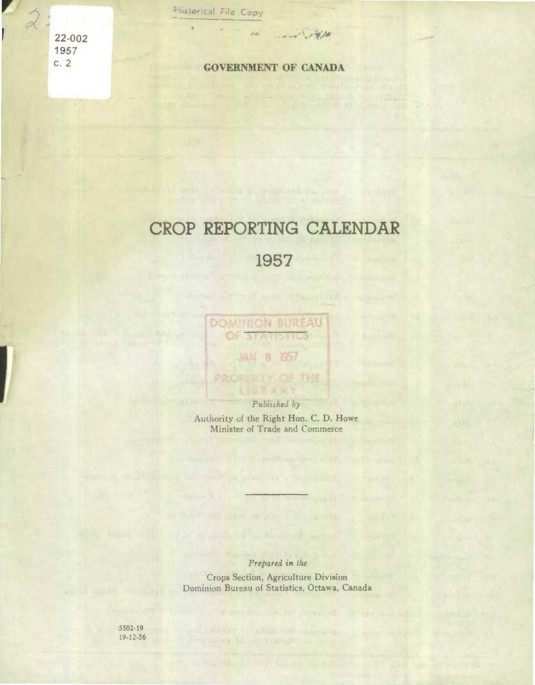**22-002 . 1957** 

字章

J

#### **c. 2 GOVERNMENT OF CANADA**

 $\mathcal{L}$ 

A.

# CROP REPORTING CALENDAR

## 1957

**DOMINION BUREAU** 

JAN 8 1957

**PROBLETT OF THE** 

**21 A-1151105** 

OF

Published by Authority of the Right Hon. C. D. Howe Minister of Trade and Commerce

*Prepared in the* 

Crops Section, Agriculture Division Dominion Bureau of Statistics, Ottawa, Canada

5502-19 19-12.56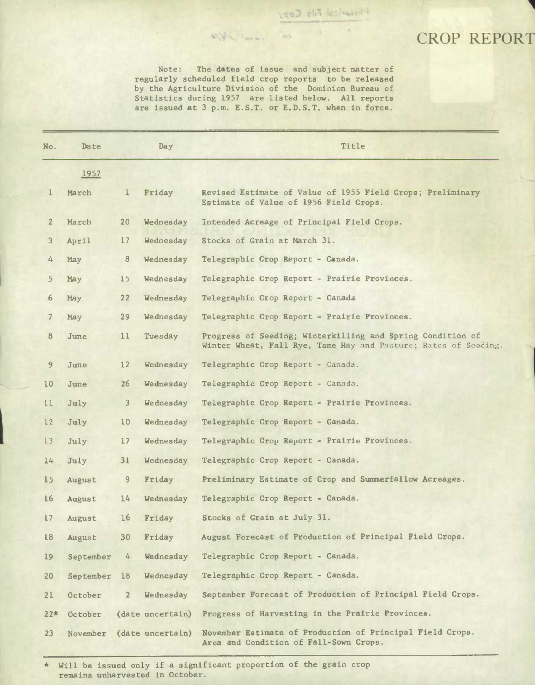### CROP REPORT

Note: The dates of issue and subject matter of regularly scheduled field crop reports to be released by the Agriculture Division of the Dominion Bureau of Statistics during 1957 are listed below. All reports are issued at 3 p.m. E.S.T. or E.D.S.T. when in force.

With Thomas In

| No.             | Date      |                 | Day              | Title                                                                                                                         |
|-----------------|-----------|-----------------|------------------|-------------------------------------------------------------------------------------------------------------------------------|
|                 | 1957      |                 |                  |                                                                                                                               |
| $\mathbf{1}$    | March     | $\mathbf{1}$    | Friday           | Revised Estimate of Value of 1955 Field Crops; Preliminary<br>Estimate of Value of 1956 Field Crops.                          |
| $\overline{2}$  | March     | 20 <sub>2</sub> | Wednesday        | Intended Acreage of Principal Field Crops.                                                                                    |
| 3               | April     | 17              | Wednesday        | Stocks of Grain at March 31.                                                                                                  |
| 4               | May       | 8               | Wednesday        | Telegraphic Crop Report - Canada.                                                                                             |
| 5.              | May       | 15 <sup>2</sup> | Wednesday        | Telegraphic Crop Report - Prairie Provinces.                                                                                  |
| 6               | May       | 22              | Wednesday        | Telegraphic Crop Report - Canada                                                                                              |
| 7               | May       | 29              | Wednesday        | Telegraphic Crop Report - Prairie Provinces.                                                                                  |
| 8               | June      | 11              | Tuesday          | Progress of Seeding; Winterkilling and Spring Condition of<br>Winter Wheat, Fall Rye, Tame Hay and Pasture; Rates of Seeding. |
| 9               | June      | 12              | Wednesday        | Telegraphic Crop Report - Canada.                                                                                             |
| 10 <sup>°</sup> | June      | 26              | Wednesday        | Telegraphic Crop Report - Canada.                                                                                             |
| 11              | July      | 3 <sup>1</sup>  | Wednesday        | Telegraphic Crop Report - Prairie Provinces.                                                                                  |
| 12              | July      | 10 <sub>1</sub> | Wednesday        | Telegraphic Crop Report - Canada.                                                                                             |
| 13              | July      | 17 <sup>2</sup> | Wednesday        | Telegraphic Crop Report - Prairie Provinces.                                                                                  |
| 14              | July      | 31              | Wednesday        | Telegraphic Crop Report - Canada.                                                                                             |
| 15              | August    | 9               | Friday           | Preliminary Estimate of Crop and Summerfallow Acreages.                                                                       |
| 16              | August    | 14              | Wednesday        | Telegraphic Crop Report - Canada.                                                                                             |
| 17              | August    | 16              | Friday           | Stocks of Grain at July 31.                                                                                                   |
| 18              | August    | 30              | Friday           | August Forecast of Production of Principal Field Crops.                                                                       |
| 19              | September | 4               | Wednesday        | Telegraphic Crop Report - Canada.                                                                                             |
| 20              | September | 18              | Wednesday        | Telegraphic Crop Report - Canada.                                                                                             |
| 21              | October   | $\overline{2}$  | Wednesday        | September Forecast of Production of Principal Field Crops.                                                                    |
| $22*$           | October   |                 | (date uncertain) | Progress of Harvesting in the Prairie Provinces.                                                                              |
| 23              | November  |                 | (date uncertain) | November Estimate of Production of Principal Field Crops.<br>Area and Condition of Fall-Sown Crops.                           |

\* Will be issued only if a significant proportion of the grain crop remains unharvested in October.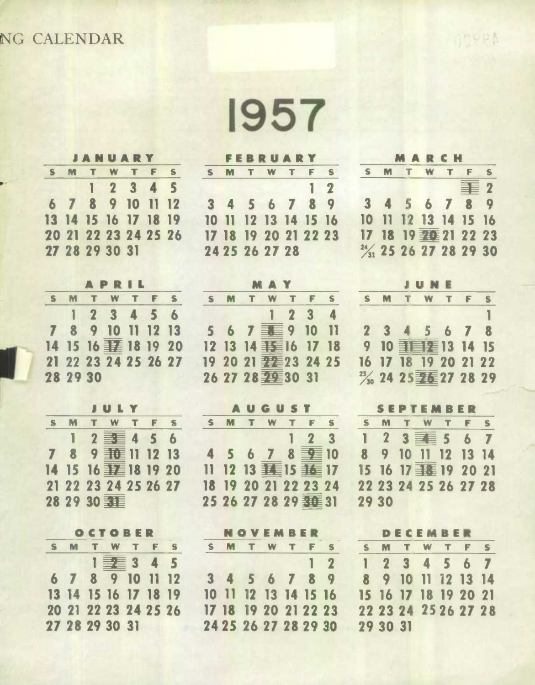## **NG CALENDAR**

**1957** 

| $\mathbf{s}$ |  | 27 28 29 30 31 | <b>JANUARY</b><br>M T W T F S<br>12345<br>6 7 8 9 10 11 12<br>13 14 15 16 17 18 19<br>20 21 22 23 24 25 26 |
|--------------|--|----------------|------------------------------------------------------------------------------------------------------------|

|    |          | APRIL                |  |  |
|----|----------|----------------------|--|--|
| S. |          | M T W T F S          |  |  |
|    |          | 123456               |  |  |
|    |          | 7 8 9 10 11 12 13    |  |  |
|    |          | 14 15 16 丰 18 19 20  |  |  |
|    |          | 21 22 23 24 25 26 27 |  |  |
|    | 28 29 30 |                      |  |  |

|   | JULY                 |  |              |
|---|----------------------|--|--------------|
| M | TWTF                 |  | $\mathbf{s}$ |
|   | $12 \equiv 456$      |  |              |
|   | 7 8 9 垂 11 12 13     |  |              |
|   | 14 15 16 丰丰 18 19 20 |  |              |
|   | 21 22 23 24 25 26 27 |  |              |
|   | 28 29 30 31          |  |              |

|    |                      |  | OCTOBER        |          |
|----|----------------------|--|----------------|----------|
| S. |                      |  | M T W T F      | <b>S</b> |
|    |                      |  | $1 \equiv 345$ |          |
|    | 6 7 8 9 10 11 12     |  |                |          |
|    | 13 14 15 16 17 18 19 |  |                |          |
|    | 20 21 22 23 24 25 26 |  |                |          |
|    | 27 28 29 30 31       |  |                |          |

|  |                | <b>FEBRUARY</b>      |            |
|--|----------------|----------------------|------------|
|  |                | S M T W T F S        |            |
|  |                |                      | $1\quad 2$ |
|  |                | 3 4 5 6 7 8 9        |            |
|  |                | 10 11 12 13 14 15 16 |            |
|  |                | 17 18 19 20 21 22 23 |            |
|  | 24 25 26 27 28 |                      |            |

|   |                      | MAY |                                                        |    |
|---|----------------------|-----|--------------------------------------------------------|----|
| S | M T W T F            |     |                                                        | S. |
|   |                      |     | $\begin{array}{cccc} \hline 1 & 2 & 3 & 4 \end{array}$ |    |
|   | 5 6 7 3 9 10 11      |     |                                                        |    |
|   | 12 13 14 15 16 17 18 |     |                                                        |    |
|   | 19 20 21 22 23 24 25 |     |                                                        |    |
|   | 26 27 28 至 30 31     |     |                                                        |    |

### **AUGUST**

|  |  | S M T W T F S        |  |
|--|--|----------------------|--|
|  |  | $1\quad 2\quad 3$    |  |
|  |  | 4 5 6 7 8 3 10       |  |
|  |  | 11 12 13 垂15 垂17     |  |
|  |  | 18 19 20 21 22 23 24 |  |
|  |  | 25 26 27 28 29 至 31  |  |

|  | <b>NOVEMBER</b>      |  |                                                                                        |          |
|--|----------------------|--|----------------------------------------------------------------------------------------|----------|
|  | S M T W T F          |  |                                                                                        | <b>S</b> |
|  |                      |  | $\begin{array}{\begin{array}{\small \begin{array}{\small \end{array}}{}}\n\end{array}$ |          |
|  | 3 4 5 6 7 8 9        |  |                                                                                        |          |
|  | 10 11 12 13 14 15 16 |  |                                                                                        |          |
|  | 17 18 19 20 21 22 23 |  |                                                                                        |          |
|  | 24 25 26 27 28 29 30 |  |                                                                                        |          |

|                                    | MARCH                |  |     |    |
|------------------------------------|----------------------|--|-----|----|
|                                    | S M T W T F          |  |     | S. |
|                                    |                      |  | 青 2 |    |
|                                    | 3 4 5 6 7 8 9        |  |     |    |
|                                    | 10 11 12 13 14 15 16 |  |     |    |
|                                    | 17 18 19 妻皇 21 22 23 |  |     |    |
| 2/ <sub>31</sub> 25 26 27 28 29 30 |                      |  |     |    |

**APPEA** 

|  | <b>JUNE</b>                                   |  |  |
|--|-----------------------------------------------|--|--|
|  | S M T W T F S                                 |  |  |
|  |                                               |  |  |
|  | 2 3 4 5 6 7 8                                 |  |  |
|  | 9 10 手手看 13 14 15                             |  |  |
|  | 16 17 18 19 20 21 22                          |  |  |
|  | $\frac{23}{30}$ 24 25 $\frac{1}{25}$ 27 28 29 |  |  |

#### **SEPTEMBER**

|       |  | ----------           |  |  |
|-------|--|----------------------|--|--|
|       |  | S M T W T F S        |  |  |
|       |  | $1 2 3 \equiv 5 6 7$ |  |  |
|       |  | 8 9 10 11 12 13 14   |  |  |
|       |  | 15 16 17 手程 19 20 21 |  |  |
|       |  | 22 23 24 25 26 27 28 |  |  |
| 29 30 |  |                      |  |  |

|          | DECEMBER             |  |  |
|----------|----------------------|--|--|
|          | S M T W T F S        |  |  |
|          | 1 2 3 4 5 6 7        |  |  |
|          | 8 9 10 11 12 13 14   |  |  |
|          | 15 16 17 18 19 20 21 |  |  |
|          | 22 23 24 25 26 27 28 |  |  |
| 29 30 31 |                      |  |  |